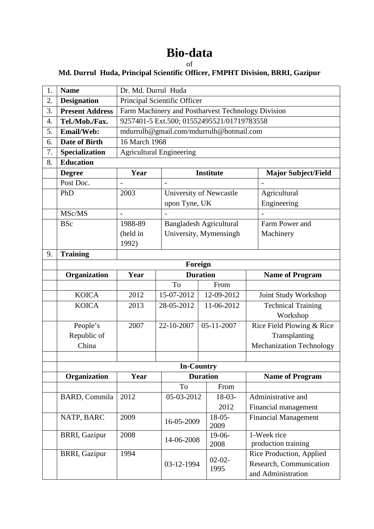## **Bio-data**

## of

## **Md. Durrul Huda, Principal Scientific Officer, FMPHT Division, BRRI, Gazipur**

| 1. | <b>Name</b>            | Dr. Md. Durrul Huda                                |                                |                            |                                                                           |  |  |
|----|------------------------|----------------------------------------------------|--------------------------------|----------------------------|---------------------------------------------------------------------------|--|--|
| 2. | <b>Designation</b>     | Principal Scientific Officer                       |                                |                            |                                                                           |  |  |
| 3. | <b>Present Address</b> | Farm Machinery and Postharvest Technology Division |                                |                            |                                                                           |  |  |
| 4. | Tel./Mob./Fax.         | 9257401-5 Ext.500; 01552495521/01719783558         |                                |                            |                                                                           |  |  |
| 5. | Email/Web:             | mdurrulh@gmail.com/mdurrulh@hotmail.com            |                                |                            |                                                                           |  |  |
| 6. | Date of Birth          | 16 March 1968                                      |                                |                            |                                                                           |  |  |
| 7. | Specialization         | Agricultural Engineering                           |                                |                            |                                                                           |  |  |
| 8. | <b>Education</b>       |                                                    |                                |                            |                                                                           |  |  |
|    | <b>Degree</b>          | Year                                               | <b>Institute</b>               | <b>Major Subject/Field</b> |                                                                           |  |  |
|    | Post Doc.              |                                                    |                                |                            |                                                                           |  |  |
|    | PhD                    | 2003                                               | University of Newcastle        |                            | Agricultural                                                              |  |  |
|    |                        |                                                    | upon Tyne, UK                  |                            | Engineering                                                               |  |  |
|    | MSc/MS                 | $\overline{a}$                                     |                                |                            |                                                                           |  |  |
|    | <b>BSc</b>             | 1988-89                                            | <b>Bangladesh Agricultural</b> |                            | Farm Power and                                                            |  |  |
|    |                        | (held in                                           | University, Mymensingh         |                            | Machinery                                                                 |  |  |
|    |                        | 1992)                                              |                                |                            |                                                                           |  |  |
| 9. | <b>Training</b>        |                                                    |                                |                            |                                                                           |  |  |
|    |                        | Foreign                                            |                                |                            |                                                                           |  |  |
|    | Organization           | Year                                               | <b>Duration</b>                |                            | <b>Name of Program</b>                                                    |  |  |
|    |                        |                                                    | To                             | From                       |                                                                           |  |  |
|    | <b>KOICA</b>           | 2012                                               | 15-07-2012                     | 12-09-2012                 | Joint Study Workshop                                                      |  |  |
|    | <b>KOICA</b>           | 2013                                               | 28-05-2012                     | 11-06-2012                 | <b>Technical Training</b>                                                 |  |  |
|    |                        |                                                    |                                |                            | Workshop                                                                  |  |  |
|    | People's               | 2007                                               | 22-10-2007                     | 05-11-2007                 | Rice Field Plowing & Rice                                                 |  |  |
|    | Republic of            |                                                    |                                |                            | Transplanting                                                             |  |  |
|    | China                  |                                                    |                                |                            | Mechanization Technology                                                  |  |  |
|    |                        |                                                    |                                |                            |                                                                           |  |  |
|    |                        |                                                    |                                | <b>In-Country</b>          |                                                                           |  |  |
|    | Organization           | Year<br><b>Duration</b>                            |                                |                            | <b>Name of Program</b>                                                    |  |  |
|    |                        |                                                    | To                             | From                       |                                                                           |  |  |
|    | <b>BARD, Commila</b>   | 2012                                               | 05-03-2012                     | $18-03-$                   | Administrative and                                                        |  |  |
|    |                        |                                                    |                                | 2012                       | Financial management                                                      |  |  |
|    | NATP, BARC             | 2009                                               | 16-05-2009                     | $18-05-$<br>2009           | <b>Financial Management</b>                                               |  |  |
|    | <b>BRRI, Gazipur</b>   | 2008                                               | 14-06-2008                     | $19-06-$<br>2008           | 1-Week rice<br>production training                                        |  |  |
|    | <b>BRRI, Gazipur</b>   | 1994                                               | 03-12-1994                     | $02-02-$<br>1995           | Rice Production, Applied<br>Research, Communication<br>and Administration |  |  |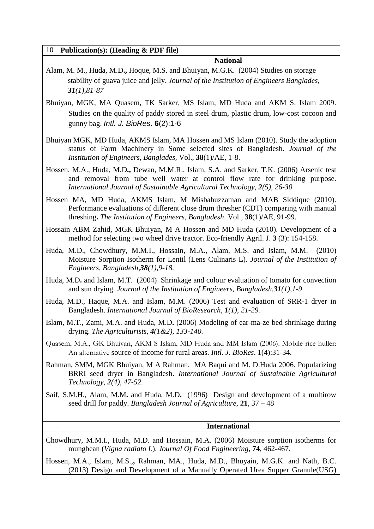| 10   Publication(s): (Heading & PDF file) |                 |  |  |  |  |
|-------------------------------------------|-----------------|--|--|--|--|
|                                           | <b>National</b> |  |  |  |  |

- Alam, M. M., Huda, M.D**.,** Hoque, M.S. and Bhuiyan, M.G.K. (2004) Studies on storage stability of guava juice and jelly. *Journal of the Institution of Engineers Banglades, 31(1),81-87*
- Bhuiyan, MGK, MA Quasem, TK Sarker, MS Islam, MD Huda and AKM S. Islam 2009. Studies on the quality of paddy stored in steel drum, plastic drum, low-cost cocoon and gunny bag. Intl. J. BioRes. **6**(2):1-6
- Bhuiyan MGK, MD Huda, AKMS Islam, MA Hossen and MS Islam (2010). Study the adoption status of Farm Machinery in Some selected sites of Bangladesh. *Journal of the Institution of Engineers, Banglades,* Vol., **38**(1)/AE, 1-8.
- Hossen, M.A., Huda, M.D**.,** Dewan, M.M.R., Islam, S.A. and Sarker, T.K. (2006) Arsenic test and removal from tube well water at control flow rate for drinking purpose. *International Journal of Sustainable Agricultural Technology, 2(5), 26-30*
- Hossen MA, MD Huda, AKMS Islam, M Misbahuzzaman and MAB Siddique (2010). Performance evaluations of different close drum thresher (CDT) comparing with manual threshing**.** *The Institution of Engineers, Bangladesh*. Vol., **38**(1)/AE, 91-99.
- Hossain ABM Zahid, MGK Bhuiyan, M A Hossen and MD Huda (2010). Development of a method for selecting two wheel drive tractor. Eco-friendly Agril. J. **3** (3): 154-158.
- Huda, M.D., Chowdhury, M.M.I., Hossain, M.A., Alam, M.S. and Islam, M.M. (2010) Moisture Sorption Isotherm for Lentil (Lens Culinaris L). *Journal of the Institution of Engineers, Bangladesh,38(1),9-18.*
- Huda, M.D**.** and Islam, M.T. (2004) Shrinkage and colour evaluation of tomato for convection and sun drying. *Journal of the Institution of Engineers, Bangladesh,31(1),1-9*
- Huda, M.D., Haque, M.A. and Islam, M.M. (2006) Test and evaluation of SRR-1 dryer in Bangladesh. *International Journal of BioResearch, 1(1), 21-29.*
- Islam, M.T., Zami, M.A. and Huda, M.D**.** (2006) Modeling of ear-ma-ze bed shrinkage during drying. *The Agriculturists, 4(1&2), 133-140.*
- Quasem, M.A., GK Bhuiyan, AKM S Islam, MD Huda and MM Islam (2006). Mobile rice huller: An alternative source of income for rural areas. *Intl. J. BioRes*. 1(4):31-34.
- Rahman, SMM, MGK Bhuiyan, M A Rahman, MA Baqui and M. D.Huda 2006. Popularizing BRRI seed dryer in Bangladesh. *International Journal of Sustainable Agricultural Technology, 2(4), 47-52.*
- Saif, S.M.H., Alam, M.M**.** and Huda, M.D**.** (1996) Design and development of a multirow seed drill for paddy. *Bangladesh Journal of Agriculture*, **21**, 37 – 48

 **International** 

- Chowdhury, M.M.I., Huda, M.D. and Hossain, M.A. (2006) Moisture sorption isotherms for mungbean (*Vigna radiato L*). *Journal Of Food Engineering*, **74**, 462-467.
- Hossen, M.A., Islam, M.S.,**,** Rahman, MA., Huda, M.D., Bhuyain, M.G.K. and Nath, B.C. (2013) Design and Development of a Manually Operated Urea Supper Granule(USG)